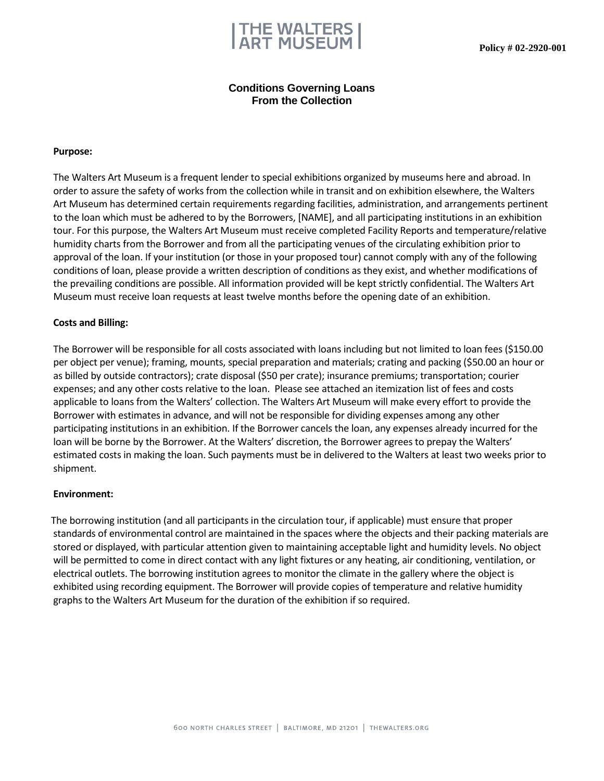

## **Conditions Governing Loans From the Collection**

#### **Purpose:**

The Walters Art Museum is a frequent lender to special exhibitions organized by museums here and abroad. In order to assure the safety of works from the collection while in transit and on exhibition elsewhere, the Walters Art Museum has determined certain requirements regarding facilities, administration, and arrangements pertinent to the loan which must be adhered to by the Borrowers, [NAME], and all participating institutions in an exhibition tour. For this purpose, the Walters Art Museum must receive completed Facility Reports and temperature/relative humidity charts from the Borrower and from all the participating venues of the circulating exhibition prior to approval of the loan. If your institution (or those in your proposed tour) cannot comply with any of the following conditions of loan, please provide a written description of conditions as they exist, and whether modifications of the prevailing conditions are possible. All information provided will be kept strictly confidential. The Walters Art Museum must receive loan requests at least twelve months before the opening date of an exhibition.

#### **Costs and Billing:**

The Borrower will be responsible for all costs associated with loans including but not limited to loan fees (\$150.00 per object per venue); framing, mounts, special preparation and materials; crating and packing (\$50.00 an hour or as billed by outside contractors); crate disposal (\$50 per crate); insurance premiums; transportation; courier expenses; and any other costs relative to the loan. Please see attached an itemization list of fees and costs applicable to loans from the Walters' collection. The Walters Art Museum will make every effort to provide the Borrower with estimates in advance, and will not be responsible for dividing expenses among any other participating institutions in an exhibition. If the Borrower cancels the loan, any expenses already incurred for the loan will be borne by the Borrower. At the Walters' discretion, the Borrower agrees to prepay the Walters' estimated costs in making the loan. Such payments must be in delivered to the Walters at least two weeks prior to shipment.

#### **Environment:**

The borrowing institution (and all participants in the circulation tour, if applicable) must ensure that proper standards of environmental control are maintained in the spaces where the objects and their packing materials are stored or displayed, with particular attention given to maintaining acceptable light and humidity levels. No object will be permitted to come in direct contact with any light fixtures or any heating, air conditioning, ventilation, or electrical outlets. The borrowing institution agrees to monitor the climate in the gallery where the object is exhibited using recording equipment. The Borrower will provide copies of temperature and relative humidity graphs to the Walters Art Museum for the duration of the exhibition if so required.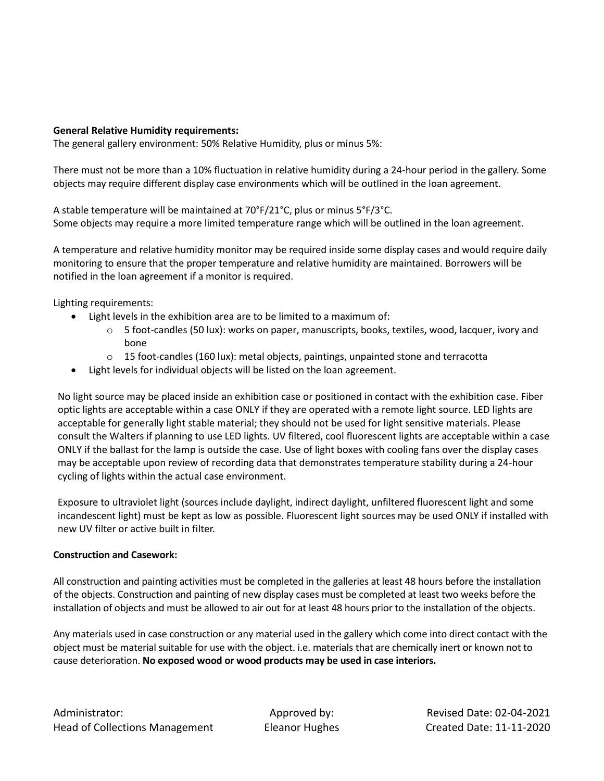## **General Relative Humidity requirements:**

The general gallery environment: 50% Relative Humidity, plus or minus 5%:

There must not be more than a 10% fluctuation in relative humidity during a 24-hour period in the gallery. Some objects may require different display case environments which will be outlined in the loan agreement.

A stable temperature will be maintained at 70°F/21°C, plus or minus 5°F/3°C. Some objects may require a more limited temperature range which will be outlined in the loan agreement.

A temperature and relative humidity monitor may be required inside some display cases and would require daily monitoring to ensure that the proper temperature and relative humidity are maintained. Borrowers will be notified in the loan agreement if a monitor is required.

Lighting requirements:

- Light levels in the exhibition area are to be limited to a maximum of:
	- o 5 foot-candles (50 lux): works on paper, manuscripts, books, textiles, wood, lacquer, ivory and bone
	- $\circ$  15 foot-candles (160 lux): metal objects, paintings, unpainted stone and terracotta
- Light levels for individual objects will be listed on the loan agreement.

No light source may be placed inside an exhibition case or positioned in contact with the exhibition case. Fiber optic lights are acceptable within a case ONLY if they are operated with a remote light source. LED lights are acceptable for generally light stable material; they should not be used for light sensitive materials. Please consult the Walters if planning to use LED lights. UV filtered, cool fluorescent lights are acceptable within a case ONLY if the ballast for the lamp is outside the case. Use of light boxes with cooling fans over the display cases may be acceptable upon review of recording data that demonstrates temperature stability during a 24-hour cycling of lights within the actual case environment.

Exposure to ultraviolet light (sources include daylight, indirect daylight, unfiltered fluorescent light and some incandescent light) must be kept as low as possible. Fluorescent light sources may be used ONLY if installed with new UV filter or active built in filter.

### **Construction and Casework:**

All construction and painting activities must be completed in the galleries at least 48 hours before the installation of the objects. Construction and painting of new display cases must be completed at least two weeks before the installation of objects and must be allowed to air out for at least 48 hours prior to the installation of the objects.

Any materials used in case construction or any material used in the gallery which come into direct contact with the object must be material suitable for use with the object. i.e. materials that are chemically inert or known not to cause deterioration. **No exposed wood or wood products may be used in case interiors.**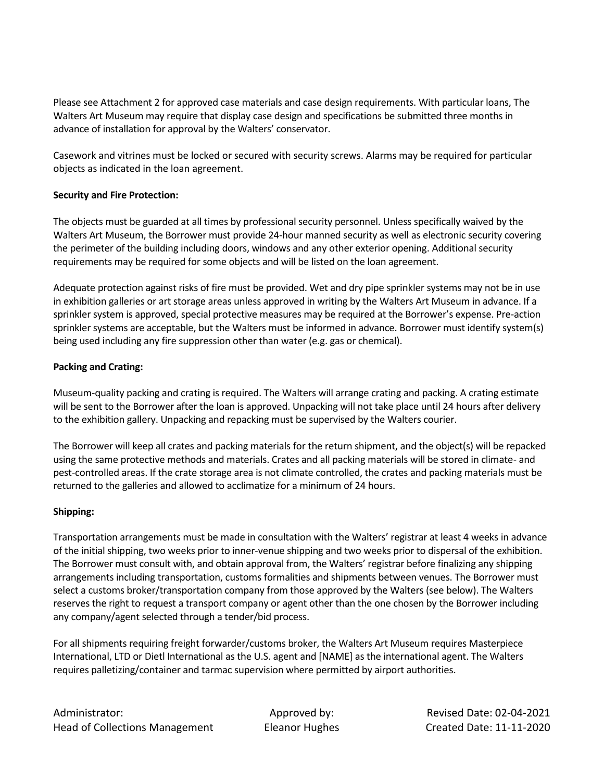Please see Attachment 2 for approved case materials and case design requirements. With particular loans, The Walters Art Museum may require that display case design and specifications be submitted three months in advance of installation for approval by the Walters' conservator.

Casework and vitrines must be locked or secured with security screws. Alarms may be required for particular objects as indicated in the loan agreement.

## **Security and Fire Protection:**

The objects must be guarded at all times by professional security personnel. Unless specifically waived by the Walters Art Museum, the Borrower must provide 24-hour manned security as well as electronic security covering the perimeter of the building including doors, windows and any other exterior opening. Additional security requirements may be required for some objects and will be listed on the loan agreement.

Adequate protection against risks of fire must be provided. Wet and dry pipe sprinkler systems may not be in use in exhibition galleries or art storage areas unless approved in writing by the Walters Art Museum in advance. If a sprinkler system is approved, special protective measures may be required at the Borrower's expense. Pre-action sprinkler systems are acceptable, but the Walters must be informed in advance. Borrower must identify system(s) being used including any fire suppression other than water (e.g. gas or chemical).

## **Packing and Crating:**

Museum-quality packing and crating is required. The Walters will arrange crating and packing. A crating estimate will be sent to the Borrower after the loan is approved. Unpacking will not take place until 24 hours after delivery to the exhibition gallery. Unpacking and repacking must be supervised by the Walters courier.

The Borrower will keep all crates and packing materials for the return shipment, and the object(s) will be repacked using the same protective methods and materials. Crates and all packing materials will be stored in climate- and pest-controlled areas. If the crate storage area is not climate controlled, the crates and packing materials must be returned to the galleries and allowed to acclimatize for a minimum of 24 hours.

## **Shipping:**

Transportation arrangements must be made in consultation with the Walters' registrar at least 4 weeks in advance of the initial shipping, two weeks prior to inner-venue shipping and two weeks prior to dispersal of the exhibition. The Borrower must consult with, and obtain approval from, the Walters' registrar before finalizing any shipping arrangements including transportation, customs formalities and shipments between venues. The Borrower must select a customs broker/transportation company from those approved by the Walters (see below). The Walters reserves the right to request a transport company or agent other than the one chosen by the Borrower including any company/agent selected through a tender/bid process.

For all shipments requiring freight forwarder/customs broker, the Walters Art Museum requires Masterpiece International, LTD or Dietl International as the U.S. agent and [NAME] as the international agent. The Walters requires palletizing/container and tarmac supervision where permitted by airport authorities.

Administrator: Approved by: Revised Date: 02-04-2021 Head of Collections Management Eleanor Hughes Created Date: 11-11-2020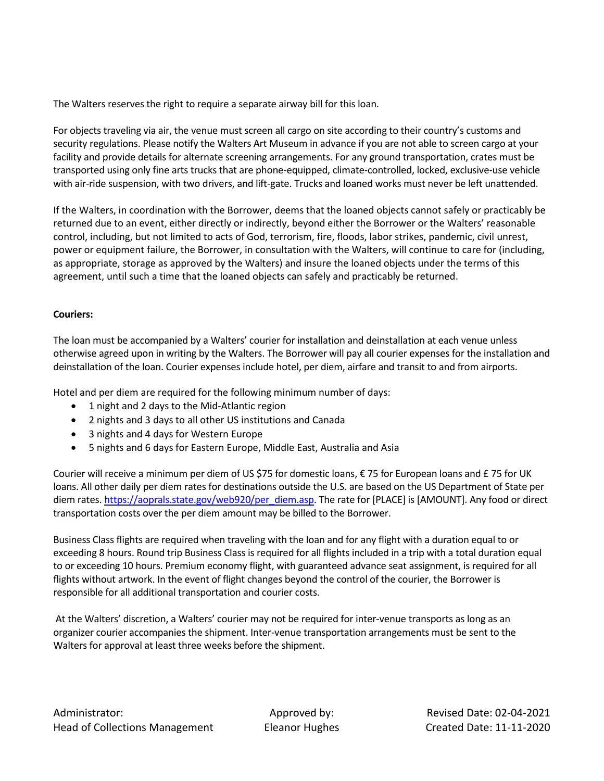The Walters reserves the right to require a separate airway bill for this loan.

For objects traveling via air, the venue must screen all cargo on site according to their country's customs and security regulations. Please notify the Walters Art Museum in advance if you are not able to screen cargo at your facility and provide details for alternate screening arrangements. For any ground transportation, crates must be transported using only fine arts trucks that are phone-equipped, climate-controlled, locked, exclusive-use vehicle with air-ride suspension, with two drivers, and lift-gate. Trucks and loaned works must never be left unattended.

If the Walters, in coordination with the Borrower, deems that the loaned objects cannot safely or practicably be returned due to an event, either directly or indirectly, beyond either the Borrower or the Walters' reasonable control, including, but not limited to acts of God, terrorism, fire, floods, labor strikes, pandemic, civil unrest, power or equipment failure, the Borrower, in consultation with the Walters, will continue to care for (including, as appropriate, storage as approved by the Walters) and insure the loaned objects under the terms of this agreement, until such a time that the loaned objects can safely and practicably be returned.

## **Couriers:**

The loan must be accompanied by a Walters' courier for installation and deinstallation at each venue unless otherwise agreed upon in writing by the Walters. The Borrower will pay all courier expenses for the installation and deinstallation of the loan. Courier expenses include hotel, per diem, airfare and transit to and from airports.

Hotel and per diem are required for the following minimum number of days:

- 1 night and 2 days to the Mid-Atlantic region
- 2 nights and 3 days to all other US institutions and Canada
- 3 nights and 4 days for Western Europe
- 5 nights and 6 days for Eastern Europe, Middle East, Australia and Asia

Courier will receive a minimum per diem of US \$75 for domestic loans, € 75 for European loans and £ 75 for UK loans. All other daily per diem rates for destinations outside the U.S. are based on the US Department of State per diem rates[. https://aoprals.state.gov/web920/per\\_diem.asp.](https://aoprals.state.gov/web920/per_diem.asp) The rate for [PLACE] is [AMOUNT]. Any food or direct transportation costs over the per diem amount may be billed to the Borrower.

Business Class flights are required when traveling with the loan and for any flight with a duration equal to or exceeding 8 hours. Round trip Business Class is required for all flights included in a trip with a total duration equal to or exceeding 10 hours. Premium economy flight, with guaranteed advance seat assignment, is required for all flights without artwork. In the event of flight changes beyond the control of the courier, the Borrower is responsible for all additional transportation and courier costs.

At the Walters' discretion, a Walters' courier may not be required for inter-venue transports as long as an organizer courier accompanies the shipment. Inter-venue transportation arrangements must be sent to the Walters for approval at least three weeks before the shipment.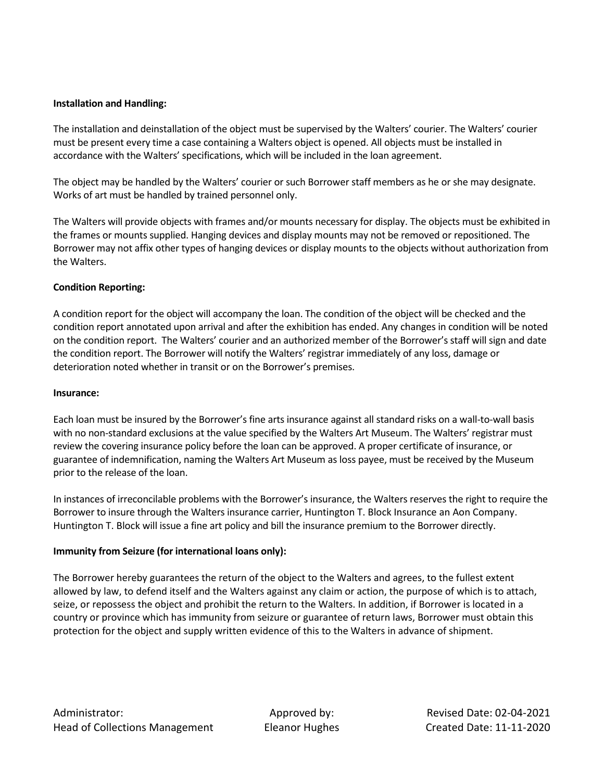## **Installation and Handling:**

The installation and deinstallation of the object must be supervised by the Walters' courier. The Walters' courier must be present every time a case containing a Walters object is opened. All objects must be installed in accordance with the Walters' specifications, which will be included in the loan agreement.

The object may be handled by the Walters' courier or such Borrower staff members as he or she may designate. Works of art must be handled by trained personnel only.

The Walters will provide objects with frames and/or mounts necessary for display. The objects must be exhibited in the frames or mounts supplied. Hanging devices and display mounts may not be removed or repositioned. The Borrower may not affix other types of hanging devices or display mounts to the objects without authorization from the Walters.

## **Condition Reporting:**

A condition report for the object will accompany the loan. The condition of the object will be checked and the condition report annotated upon arrival and after the exhibition has ended. Any changes in condition will be noted on the condition report. The Walters' courier and an authorized member of the Borrower's staff will sign and date the condition report. The Borrower will notify the Walters' registrar immediately of any loss, damage or deterioration noted whether in transit or on the Borrower's premises.

### **Insurance:**

Each loan must be insured by the Borrower's fine arts insurance against all standard risks on a wall-to-wall basis with no non-standard exclusions at the value specified by the Walters Art Museum. The Walters' registrar must review the covering insurance policy before the loan can be approved. A proper certificate of insurance, or guarantee of indemnification, naming the Walters Art Museum as loss payee, must be received by the Museum prior to the release of the loan.

In instances of irreconcilable problems with the Borrower's insurance, the Walters reserves the right to require the Borrower to insure through the Walters insurance carrier, Huntington T. Block Insurance an Aon Company. Huntington T. Block will issue a fine art policy and bill the insurance premium to the Borrower directly.

### **Immunity from Seizure (for international loans only):**

The Borrower hereby guarantees the return of the object to the Walters and agrees, to the fullest extent allowed by law, to defend itself and the Walters against any claim or action, the purpose of which is to attach, seize, or repossess the object and prohibit the return to the Walters. In addition, if Borrower is located in a country or province which has immunity from seizure or guarantee of return laws, Borrower must obtain this protection for the object and supply written evidence of this to the Walters in advance of shipment.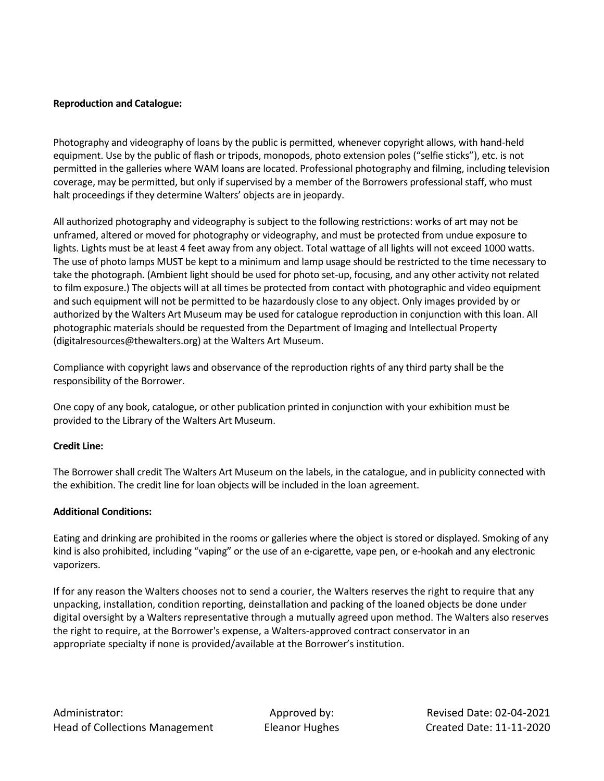## **Reproduction and Catalogue:**

Photography and videography of loans by the public is permitted, whenever copyright allows, with hand-held equipment. Use by the public of flash or tripods, monopods, photo extension poles ("selfie sticks"), etc. is not permitted in the galleries where WAM loans are located. Professional photography and filming, including television coverage, may be permitted, but only if supervised by a member of the Borrowers professional staff, who must halt proceedings if they determine Walters' objects are in jeopardy.

All authorized photography and videography is subject to the following restrictions: works of art may not be unframed, altered or moved for photography or videography, and must be protected from undue exposure to lights. Lights must be at least 4 feet away from any object. Total wattage of all lights will not exceed 1000 watts. The use of photo lamps MUST be kept to a minimum and lamp usage should be restricted to the time necessary to take the photograph. (Ambient light should be used for photo set-up, focusing, and any other activity not related to film exposure.) The objects will at all times be protected from contact with photographic and video equipment and such equipment will not be permitted to be hazardously close to any object. Only images provided by or authorized by the Walters Art Museum may be used for catalogue reproduction in conjunction with this loan. All photographic materials should be requested from the Department of Imaging and Intellectual Property (digitalresources@thewalters.org) at the Walters Art Museum.

Compliance with copyright laws and observance of the reproduction rights of any third party shall be the responsibility of the Borrower.

One copy of any book, catalogue, or other publication printed in conjunction with your exhibition must be provided to the Library of the Walters Art Museum.

### **Credit Line:**

The Borrower shall credit The Walters Art Museum on the labels, in the catalogue, and in publicity connected with the exhibition. The credit line for loan objects will be included in the loan agreement.

### **Additional Conditions:**

Eating and drinking are prohibited in the rooms or galleries where the object is stored or displayed. Smoking of any kind is also prohibited, including "vaping" or the use of an e-cigarette, vape pen, or e-hookah and any electronic vaporizers.

If for any reason the Walters chooses not to send a courier, the Walters reserves the right to require that any unpacking, installation, condition reporting, deinstallation and packing of the loaned objects be done under digital oversight by a Walters representative through a mutually agreed upon method. The Walters also reserves the right to require, at the Borrower's expense, a Walters-approved contract conservator in an appropriate specialty if none is provided/available at the Borrower's institution.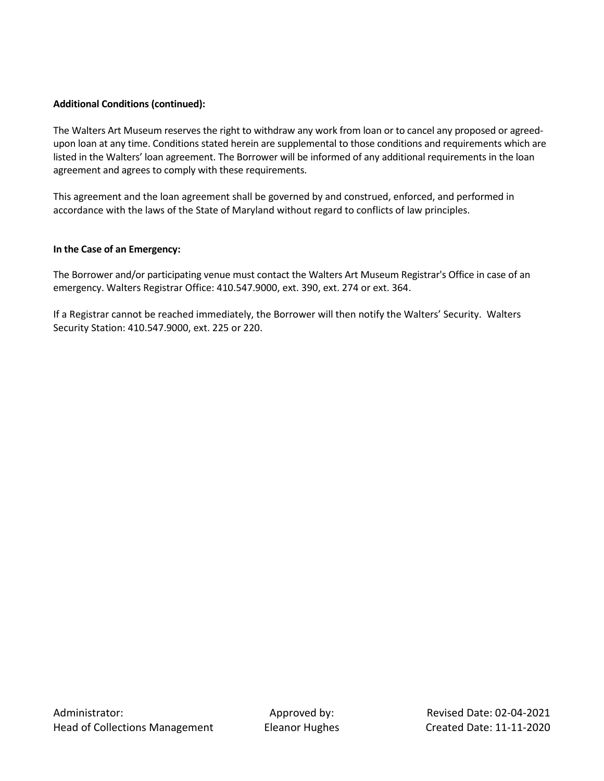## **Additional Conditions (continued):**

The Walters Art Museum reserves the right to withdraw any work from loan or to cancel any proposed or agreedupon loan at any time. Conditions stated herein are supplemental to those conditions and requirements which are listed in the Walters' loan agreement. The Borrower will be informed of any additional requirements in the loan agreement and agrees to comply with these requirements.

This agreement and the loan agreement shall be governed by and construed, enforced, and performed in accordance with the laws of the State of Maryland without regard to conflicts of law principles.

### **In the Case of an Emergency:**

The Borrower and/or participating venue must contact the Walters Art Museum Registrar's Office in case of an emergency. Walters Registrar Office: 410.547.9000, ext. 390, ext. 274 or ext. 364.

If a Registrar cannot be reached immediately, the Borrower will then notify the Walters' Security. Walters Security Station: 410.547.9000, ext. 225 or 220.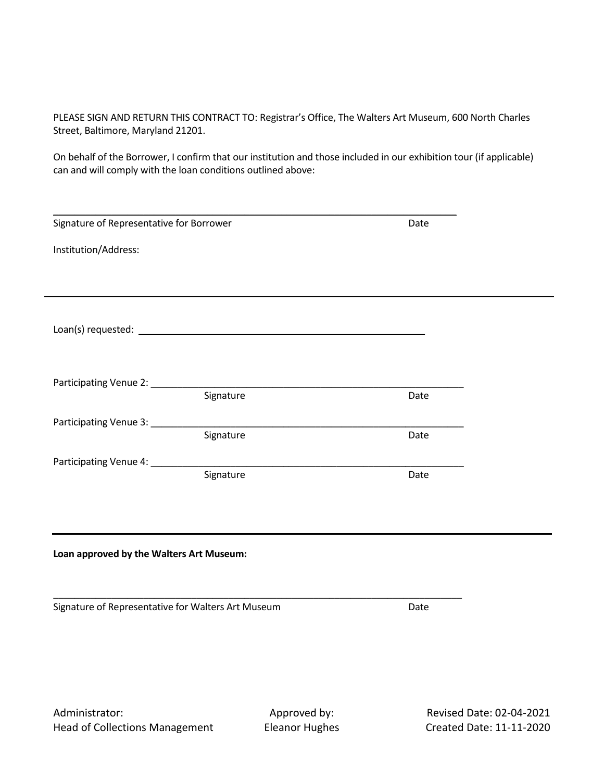PLEASE SIGN AND RETURN THIS CONTRACT TO: Registrar's Office, The Walters Art Museum, 600 North Charles Street, Baltimore, Maryland 21201.

On behalf of the Borrower, I confirm that our institution and those included in our exhibition tour (if applicable) can and will comply with the loan conditions outlined above:

| Signature of Representative for Borrower           |           | Date |  |  |
|----------------------------------------------------|-----------|------|--|--|
| Institution/Address:                               |           |      |  |  |
|                                                    |           |      |  |  |
|                                                    |           |      |  |  |
|                                                    |           |      |  |  |
|                                                    |           |      |  |  |
|                                                    |           |      |  |  |
|                                                    | Signature | Date |  |  |
|                                                    | Signature | Date |  |  |
|                                                    |           |      |  |  |
|                                                    | Signature | Date |  |  |
|                                                    |           |      |  |  |
|                                                    |           |      |  |  |
| Loan approved by the Walters Art Museum:           |           |      |  |  |
|                                                    |           |      |  |  |
| Signature of Representative for Walters Art Museum |           | Date |  |  |
|                                                    |           |      |  |  |
|                                                    |           |      |  |  |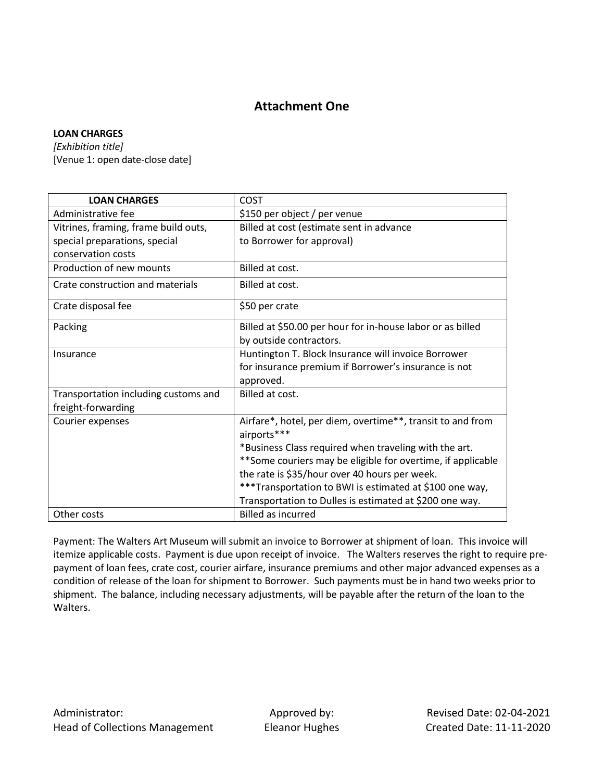# **Attachment One**

## **LOAN CHARGES**

*[Exhibition title]* [Venue 1: open date-close date]

| <b>LOAN CHARGES</b>                  | <b>COST</b>                                                  |  |
|--------------------------------------|--------------------------------------------------------------|--|
| Administrative fee                   | \$150 per object / per venue                                 |  |
| Vitrines, framing, frame build outs, | Billed at cost (estimate sent in advance                     |  |
| special preparations, special        | to Borrower for approval)                                    |  |
| conservation costs                   |                                                              |  |
| Production of new mounts             | Billed at cost.                                              |  |
| Crate construction and materials     | Billed at cost.                                              |  |
| Crate disposal fee                   | \$50 per crate                                               |  |
| Packing                              | Billed at \$50.00 per hour for in-house labor or as billed   |  |
|                                      | by outside contractors.                                      |  |
| Insurance                            | Huntington T. Block Insurance will invoice Borrower          |  |
|                                      | for insurance premium if Borrower's insurance is not         |  |
|                                      | approved.                                                    |  |
| Transportation including customs and | Billed at cost.                                              |  |
| freight-forwarding                   |                                                              |  |
| Courier expenses                     | Airfare*, hotel, per diem, overtime**, transit to and from   |  |
|                                      | airports***                                                  |  |
|                                      | *Business Class required when traveling with the art.        |  |
|                                      | ** Some couriers may be eligible for overtime, if applicable |  |
|                                      | the rate is \$35/hour over 40 hours per week.                |  |
|                                      | ***Transportation to BWI is estimated at \$100 one way,      |  |
|                                      | Transportation to Dulles is estimated at \$200 one way.      |  |
| Other costs                          | <b>Billed as incurred</b>                                    |  |

Payment: The Walters Art Museum will submit an invoice to Borrower at shipment of loan. This invoice will itemize applicable costs. Payment is due upon receipt of invoice. The Walters reserves the right to require prepayment of loan fees, crate cost, courier airfare, insurance premiums and other major advanced expenses as a condition of release of the loan for shipment to Borrower. Such payments must be in hand two weeks prior to shipment. The balance, including necessary adjustments, will be payable after the return of the loan to the Walters.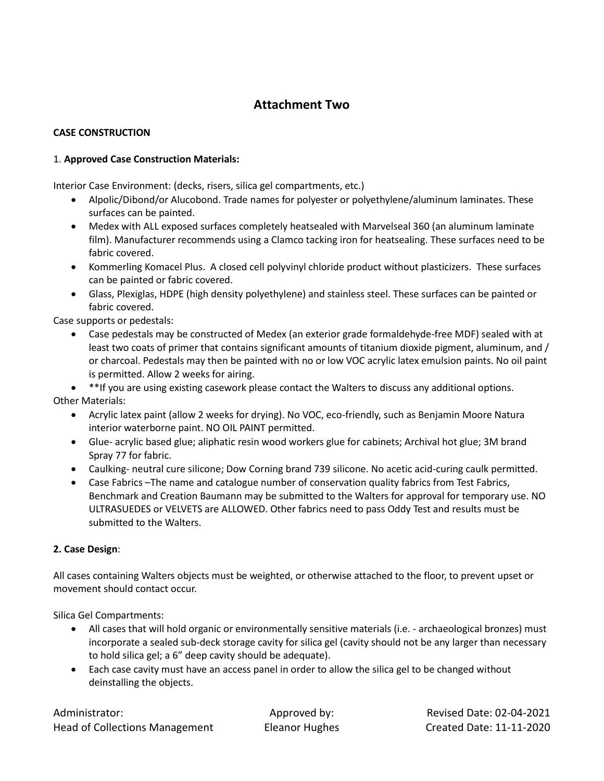# **Attachment Two**

# **CASE CONSTRUCTION**

## 1. **Approved Case Construction Materials:**

Interior Case Environment: (decks, risers, silica gel compartments, etc.)

- Alpolic/Dibond/or Alucobond. Trade names for polyester or polyethylene/aluminum laminates. These surfaces can be painted.
- Medex with ALL exposed surfaces completely heatsealed with Marvelseal 360 (an aluminum laminate film). Manufacturer recommends using a Clamco tacking iron for heatsealing. These surfaces need to be fabric covered.
- Kommerling Komacel Plus. A closed cell polyvinyl chloride product without plasticizers. These surfaces can be painted or fabric covered.
- Glass, Plexiglas, HDPE (high density polyethylene) and stainless steel. These surfaces can be painted or fabric covered.

Case supports or pedestals:

- Case pedestals may be constructed of Medex (an exterior grade formaldehyde-free MDF) sealed with at least two coats of primer that contains significant amounts of titanium dioxide pigment, aluminum, and / or charcoal. Pedestals may then be painted with no or low VOC acrylic latex emulsion paints. No oil paint is permitted. Allow 2 weeks for airing.
- \*\*If you are using existing casework please contact the Walters to discuss any additional options. Other Materials:
	- Acrylic latex paint (allow 2 weeks for drying). No VOC, eco-friendly, such as Benjamin Moore Natura interior waterborne paint. NO OIL PAINT permitted.
	- Glue- acrylic based glue; aliphatic resin wood workers glue for cabinets; Archival hot glue; 3M brand Spray 77 for fabric.
	- Caulking- neutral cure silicone; Dow Corning brand 739 silicone. No acetic acid-curing caulk permitted.
	- Case Fabrics –The name and catalogue number of conservation quality fabrics from Test Fabrics, Benchmark and Creation Baumann may be submitted to the Walters for approval for temporary use. NO ULTRASUEDES or VELVETS are ALLOWED. Other fabrics need to pass Oddy Test and results must be submitted to the Walters.

## **2. Case Design**:

All cases containing Walters objects must be weighted, or otherwise attached to the floor, to prevent upset or movement should contact occur.

Silica Gel Compartments:

- All cases that will hold organic or environmentally sensitive materials (i.e. archaeological bronzes) must incorporate a sealed sub-deck storage cavity for silica gel (cavity should not be any larger than necessary to hold silica gel; a 6" deep cavity should be adequate).
- Each case cavity must have an access panel in order to allow the silica gel to be changed without deinstalling the objects.

Administrator: Approved by: Revised Date: 02-04-2021 Head of Collections Management Eleanor Hughes Created Date: 11-11-2020